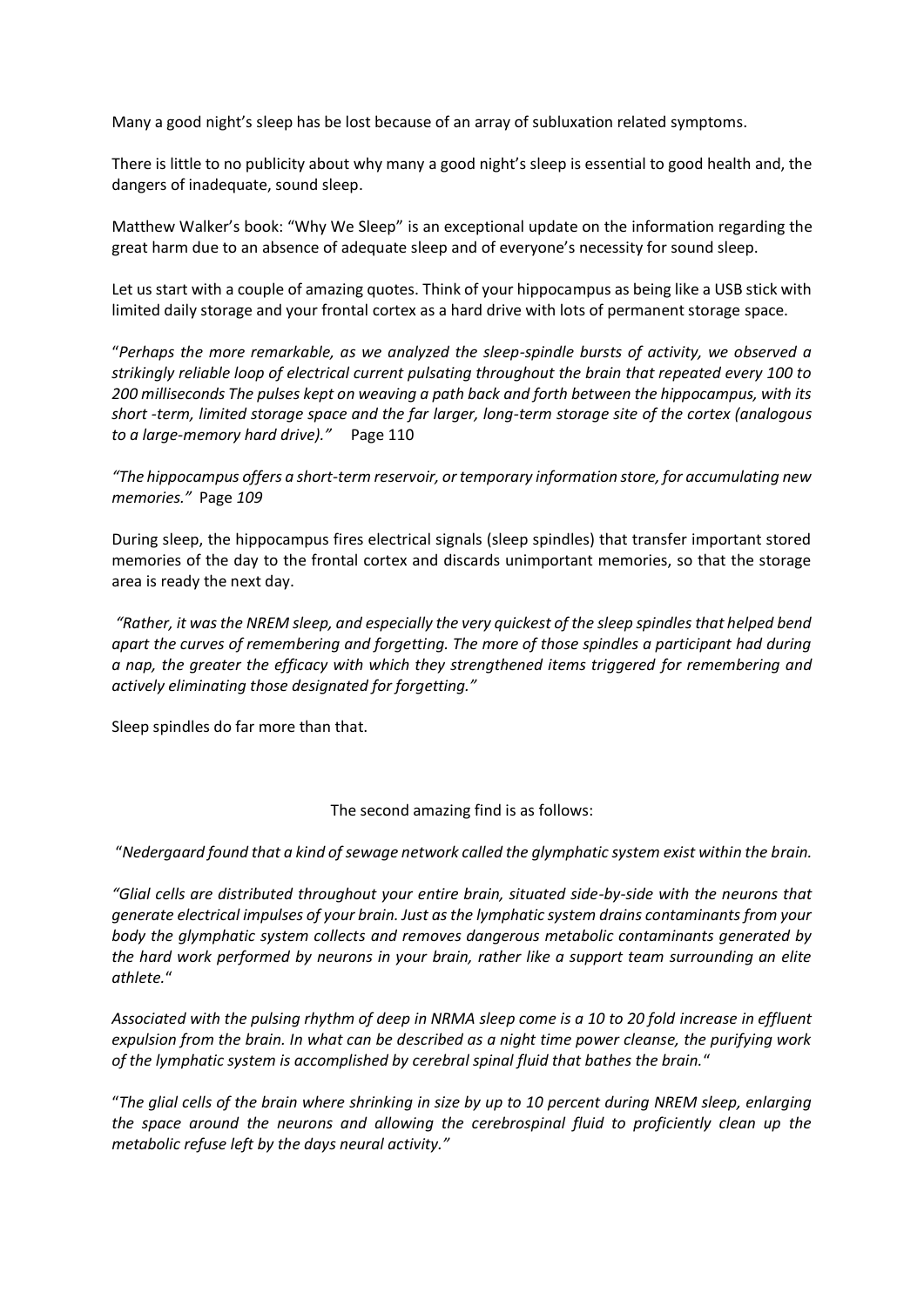Many a good night's sleep has be lost because of an array of subluxation related symptoms.

There is little to no publicity about why many a good night's sleep is essential to good health and, the dangers of inadequate, sound sleep.

Matthew Walker's book: "Why We Sleep" is an exceptional update on the information regarding the great harm due to an absence of adequate sleep and of everyone's necessity for sound sleep.

Let us start with a couple of amazing quotes. Think of your hippocampus as being like a USB stick with limited daily storage and your frontal cortex as a hard drive with lots of permanent storage space.

"*Perhaps the more remarkable, as we analyzed the sleep-spindle bursts of activity, we observed a strikingly reliable loop of electrical current pulsating throughout the brain that repeated every 100 to 200 milliseconds The pulses kept on weaving a path back and forth between the hippocampus, with its short -term, limited storage space and the far larger, long-term storage site of the cortex (analogous to a large-memory hard drive)."* Page 110

*"The hippocampus offers a short-term reservoir, or temporary information store, for accumulating new memories."* Page *109*

During sleep, the hippocampus fires electrical signals (sleep spindles) that transfer important stored memories of the day to the frontal cortex and discards unimportant memories, so that the storage area is ready the next day.

*"Rather, it was the NREM sleep, and especially the very quickest of the sleep spindles that helped bend apart the curves of remembering and forgetting. The more of those spindles a participant had during a nap, the greater the efficacy with which they strengthened items triggered for remembering and actively eliminating those designated for forgetting."*

Sleep spindles do far more than that.

The second amazing find is as follows:

"*Nedergaard found that a kind of sewage network called the glymphatic system exist within the brain.*

*"Glial cells are distributed throughout your entire brain, situated side-by-side with the neurons that generate electrical impulses of your brain. Just as the lymphatic system drains contaminants from your body the glymphatic system collects and removes dangerous metabolic contaminants generated by the hard work performed by neurons in your brain, rather like a support team surrounding an elite athlete.*"

*Associated with the pulsing rhythm of deep in NRMA sleep come is a 10 to 20 fold increase in effluent expulsion from the brain. In what can be described as a night time power cleanse, the purifying work of the lymphatic system is accomplished by cerebral spinal fluid that bathes the brain.*"

"*The glial cells of the brain where shrinking in size by up to 10 percent during NREM sleep, enlarging the space around the neurons and allowing the cerebrospinal fluid to proficiently clean up the metabolic refuse left by the days neural activity."*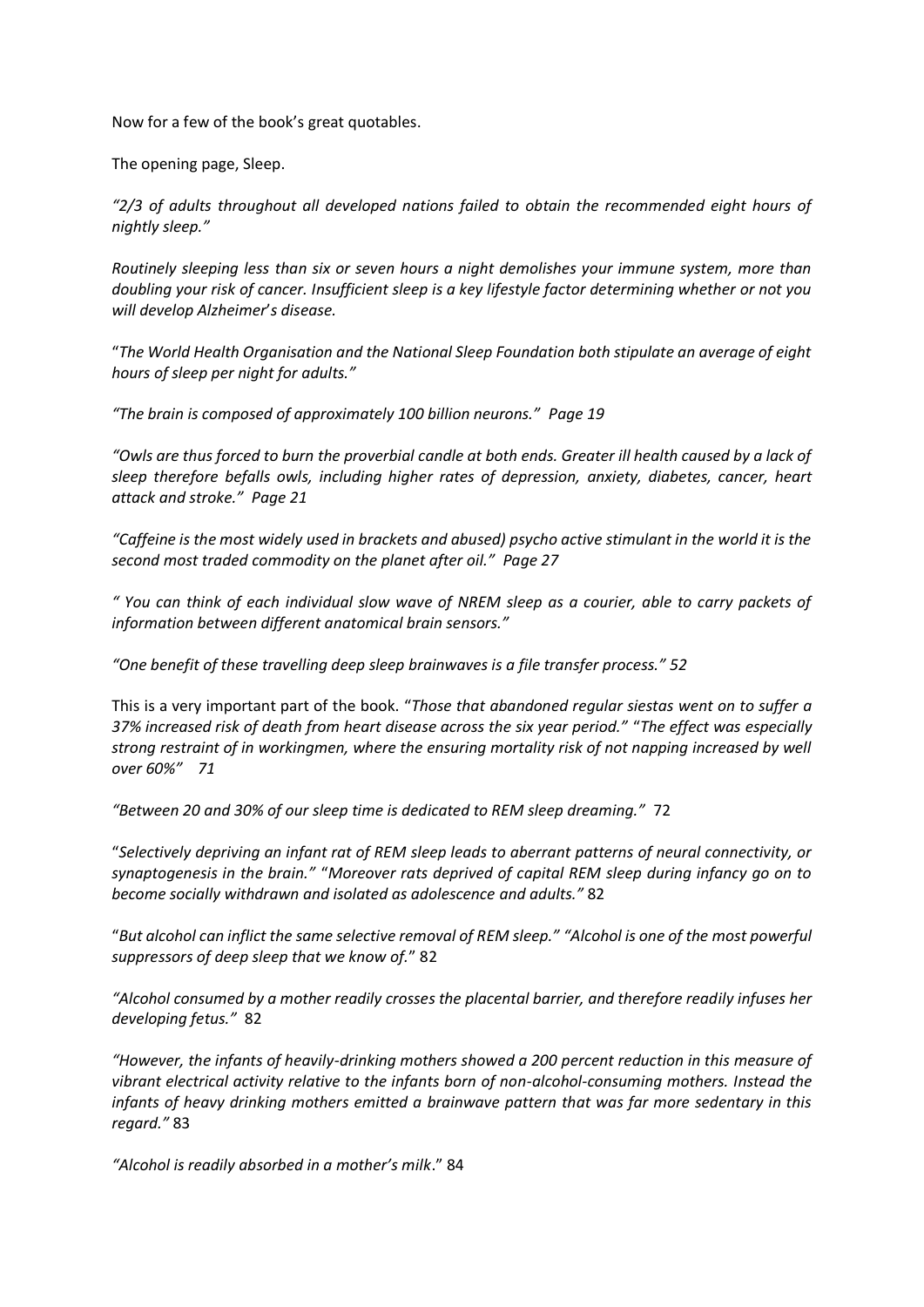Now for a few of the book's great quotables.

The opening page, Sleep.

*"2/3 of adults throughout all developed nations failed to obtain the recommended eight hours of nightly sleep."*

*Routinely sleeping less than six or seven hours a night demolishes your immune system, more than doubling your risk of cancer. Insufficient sleep is a key lifestyle factor determining whether or not you will develop Alzheimer*'*s disease.*

"*The World Health Organisation and the National Sleep Foundation both stipulate an average of eight hours of sleep per night for adults."*

*"The brain is composed of approximately 100 billion neurons." Page 19*

*"Owls are thus forced to burn the proverbial candle at both ends. Greater ill health caused by a lack of sleep therefore befalls owls, including higher rates of depression, anxiety, diabetes, cancer, heart attack and stroke." Page 21*

*"Caffeine is the most widely used in brackets and abused) psycho active stimulant in the world it is the second most traded commodity on the planet after oil." Page 27*

*" You can think of each individual slow wave of NREM sleep as a courier, able to carry packets of information between different anatomical brain sensors."*

*"One benefit of these travelling deep sleep brainwaves is a file transfer process." 52*

This is a very important part of the book. "*Those that abandoned regular siestas went on to suffer a 37% increased risk of death from heart disease across the six year period."* "*The effect was especially strong restraint of in workingmen, where the ensuring mortality risk of not napping increased by well over 60%" 71*

*"Between 20 and 30% of our sleep time is dedicated to REM sleep dreaming."* 72

"*Selectively depriving an infant rat of REM sleep leads to aberrant patterns of neural connectivity, or synaptogenesis in the brain."* "*Moreover rats deprived of capital REM sleep during infancy go on to become socially withdrawn and isolated as adolescence and adults."* 82

"*But alcohol can inflict the same selective removal of REM sleep." "Alcohol is one of the most powerful suppressors of deep sleep that we know of.*" 82

*"Alcohol consumed by a mother readily crosses the placental barrier, and therefore readily infuses her developing fetus."* 82

*"However, the infants of heavily-drinking mothers showed a 200 percent reduction in this measure of vibrant electrical activity relative to the infants born of non-alcohol-consuming mothers. Instead the infants of heavy drinking mothers emitted a brainwave pattern that was far more sedentary in this regard."* 83

*"Alcohol is readily absorbed in a mother's milk*." 84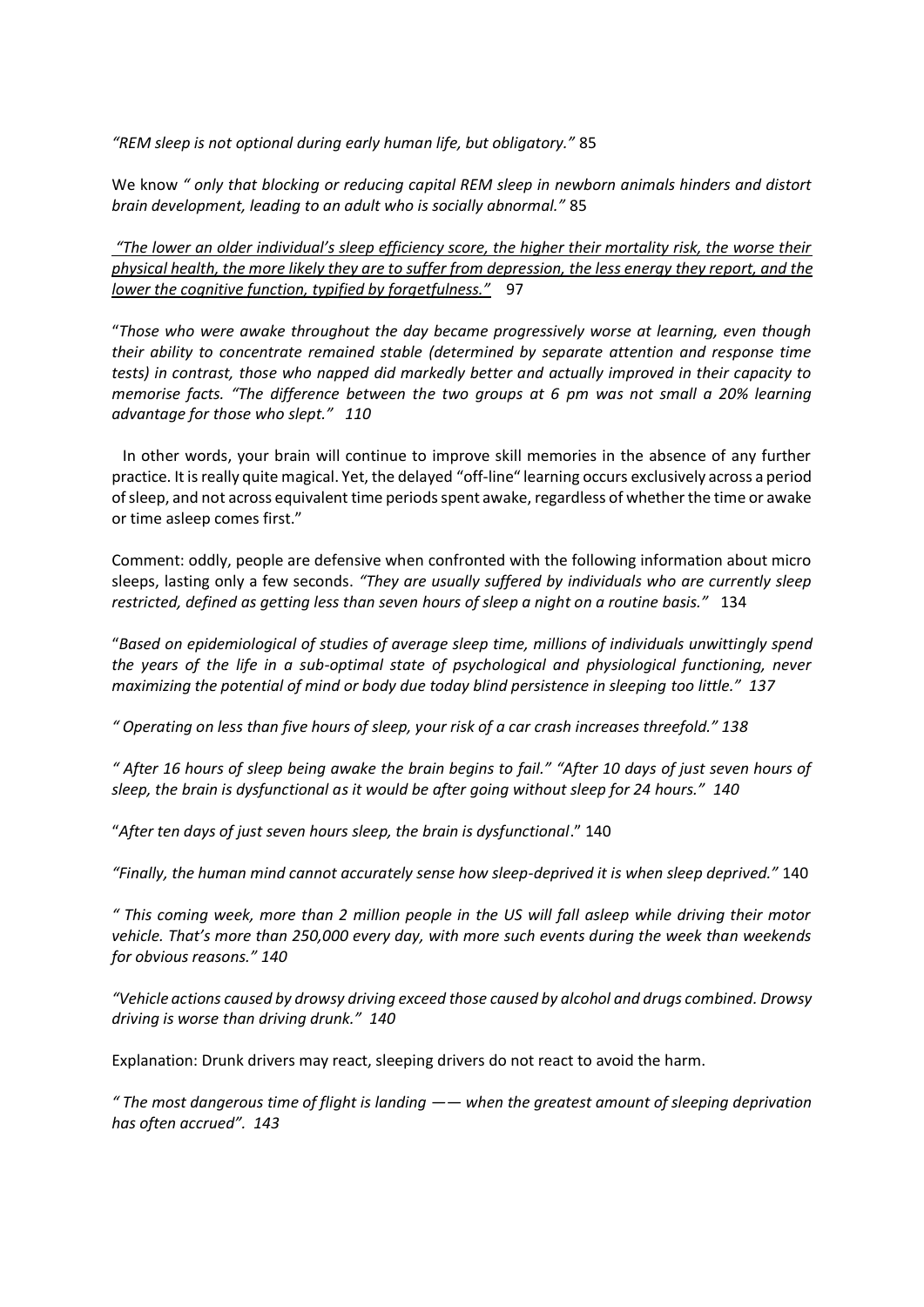*"REM sleep is not optional during early human life, but obligatory."* 85

We know *" only that blocking or reducing capital REM sleep in newborn animals hinders and distort brain development, leading to an adult who is socially abnormal."* 85

*"The lower an older individual's sleep efficiency score, the higher their mortality risk, the worse their physical health, the more likely they are to suffer from depression, the less energy they report, and the lower the cognitive function, typified by forgetfulness."* 97

"*Those who were awake throughout the day became progressively worse at learning, even though their ability to concentrate remained stable (determined by separate attention and response time tests) in contrast, those who napped did markedly better and actually improved in their capacity to memorise facts. "The difference between the two groups at 6 pm was not small a 20% learning advantage for those who slept." 110*

In other words, your brain will continue to improve skill memories in the absence of any further practice. It is really quite magical. Yet, the delayed "off-line" learning occurs exclusively across a period of sleep, and not across equivalent time periods spent awake, regardless of whether the time or awake or time asleep comes first."

Comment: oddly, people are defensive when confronted with the following information about micro sleeps, lasting only a few seconds. *"They are usually suffered by individuals who are currently sleep restricted, defined as getting less than seven hours of sleep a night on a routine basis."* 134

"*Based on epidemiological of studies of average sleep time, millions of individuals unwittingly spend the years of the life in a sub-optimal state of psychological and physiological functioning, never maximizing the potential of mind or body due today blind persistence in sleeping too little." 137*

*" Operating on less than five hours of sleep, your risk of a car crash increases threefold." 138*

*" After 16 hours of sleep being awake the brain begins to fail." "After 10 days of just seven hours of sleep, the brain is dysfunctional as it would be after going without sleep for 24 hours." 140*

"*After ten days of just seven hours sleep, the brain is dysfunctional*." 140

*"Finally, the human mind cannot accurately sense how sleep-deprived it is when sleep deprived."* 140

*" This coming week, more than 2 million people in the US will fall asleep while driving their motor vehicle. That's more than 250,000 every day, with more such events during the week than weekends for obvious reasons." 140*

*"Vehicle actions caused by drowsy driving exceed those caused by alcohol and drugs combined. Drowsy driving is worse than driving drunk." 140*

Explanation: Drunk drivers may react, sleeping drivers do not react to avoid the harm.

*" The most dangerous time of flight is landing —— when the greatest amount of sleeping deprivation has often accrued". 143*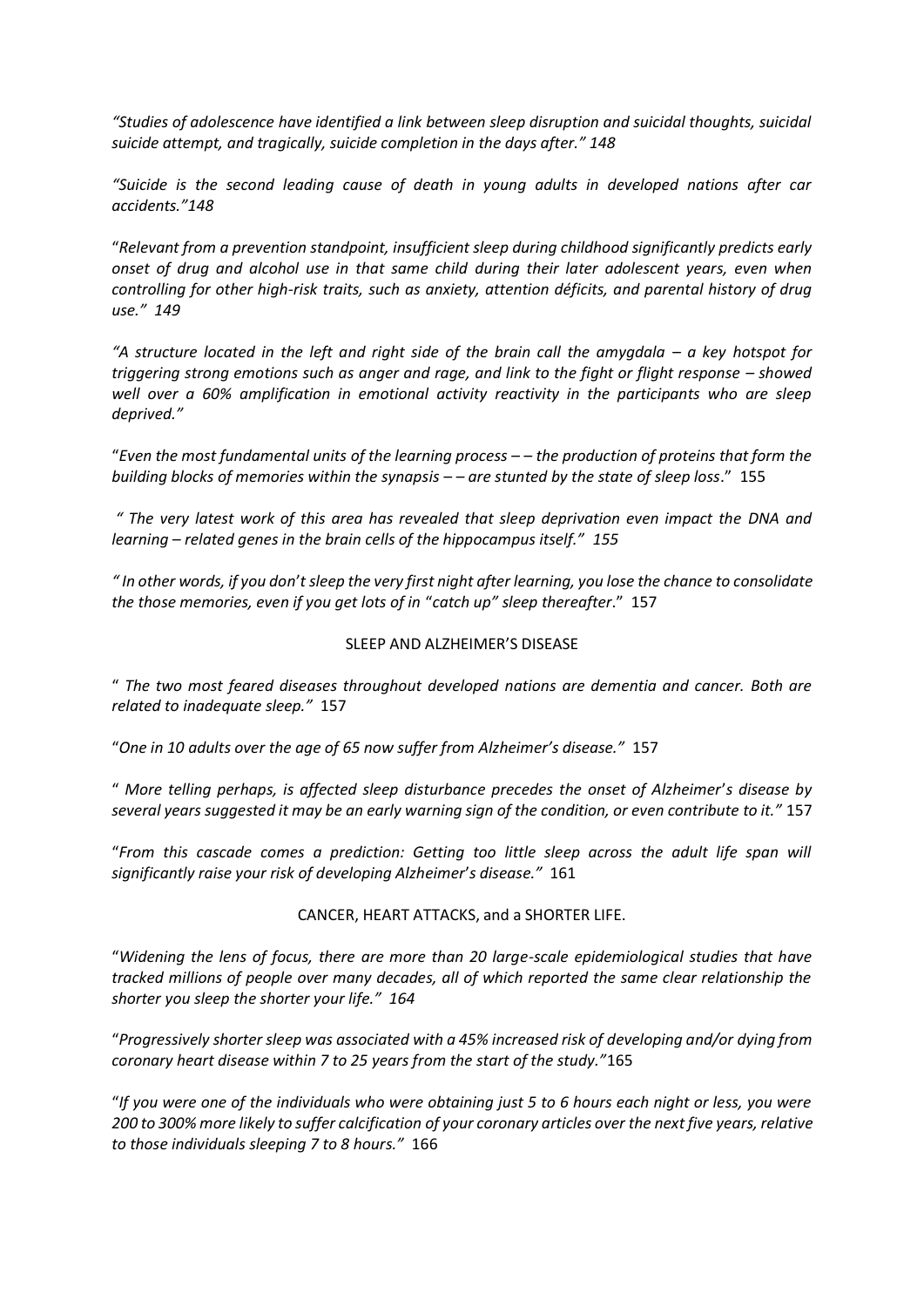*"Studies of adolescence have identified a link between sleep disruption and suicidal thoughts, suicidal suicide attempt, and tragically, suicide completion in the days after." 148*

*"Suicide is the second leading cause of death in young adults in developed nations after car accidents."148* 

"*Relevant from a prevention standpoint, insufficient sleep during childhood significantly predicts early onset of drug and alcohol use in that same child during their later adolescent years, even when controlling for other high-risk traits, such as anxiety, attention déficits, and parental history of drug use." 149*

*"A structure located in the left and right side of the brain call the amygdala – a key hotspot for triggering strong emotions such as anger and rage, and link to the fight or flight response – showed well over a 60% amplification in emotional activity reactivity in the participants who are sleep deprived."*

"*Even the most fundamental units of the learning process – – the production of proteins that form the building blocks of memories within the synapsis – – are stunted by the state of sleep loss*." 155

*" The very latest work of this area has revealed that sleep deprivation even impact the DNA and learning – related genes in the brain cells of the hippocampus itself." 155*

*" In other words, if you don*'*t sleep the very first night after learning, you lose the chance to consolidate the those memories, even if you get lots of in* "*catch up" sleep thereafter*." 157

## SLEEP AND ALZHEIMER'S DISEASE

" *The two most feared diseases throughout developed nations are dementia and cancer. Both are related to inadequate sleep."* 157

"*One in 10 adults over the age of 65 now suffer from Alzheimer's disease."* 157

" *More telling perhaps, is affected sleep disturbance precedes the onset of Alzheimer*'*s disease by several years suggested it may be an early warning sign of the condition, or even contribute to it."* 157

"*From this cascade comes a prediction: Getting too little sleep across the adult life span will significantly raise your risk of developing Alzheimer*'*s disease."* 161

## CANCER, HEART ATTACKS, and a SHORTER LIFE.

"*Widening the lens of focus, there are more than 20 large-scale epidemiological studies that have tracked millions of people over many decades, all of which reported the same clear relationship the shorter you sleep the shorter your life." 164*

"*Progressively shorter sleep was associated with a 45% increased risk of developing and/or dying from coronary heart disease within 7 to 25 years from the start of the study."*165

"*If you were one of the individuals who were obtaining just 5 to 6 hours each night or less, you were 200 to 300% more likely to suffer calcification of your coronary articles over the next five years, relative to those individuals sleeping 7 to 8 hours."* 166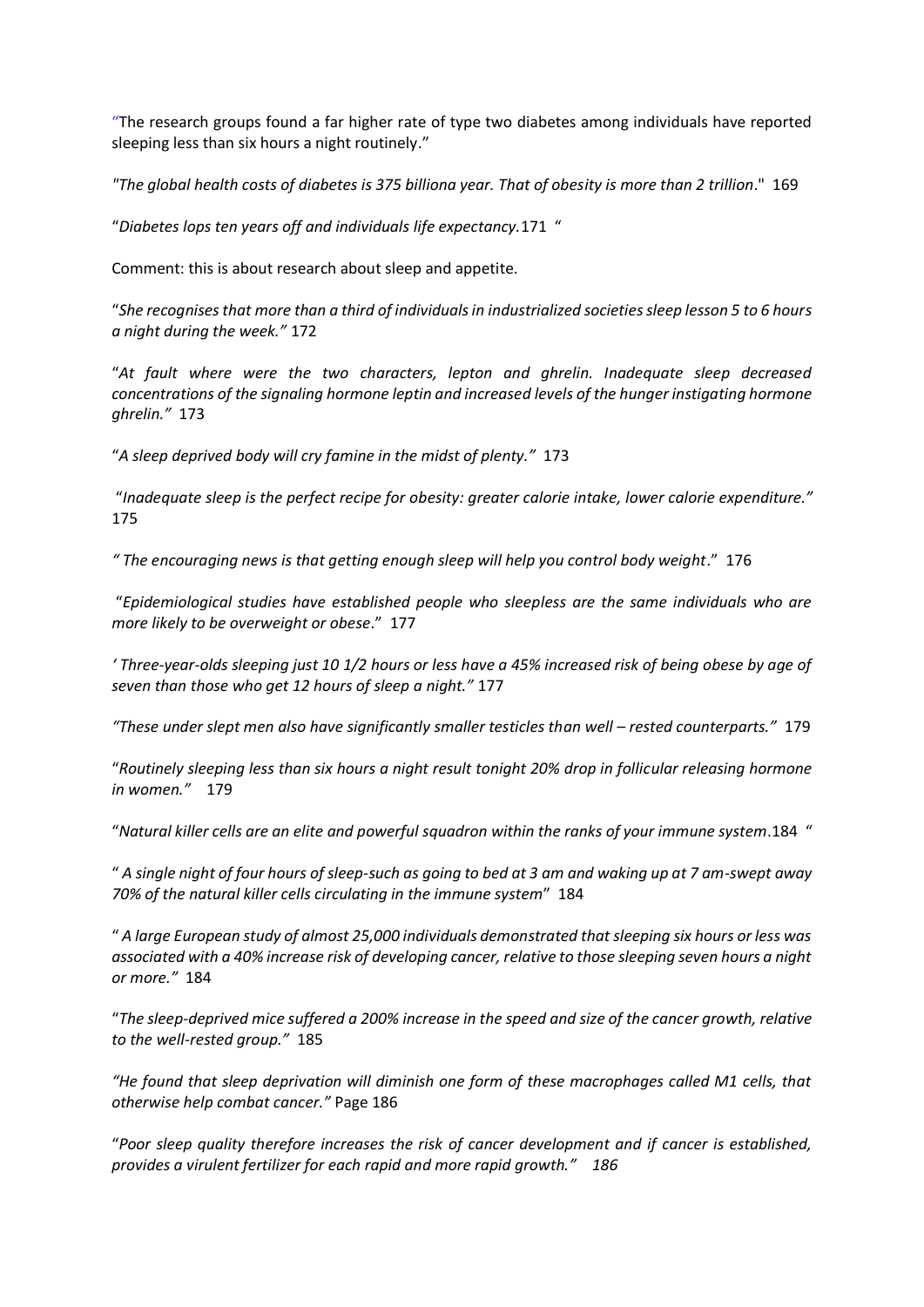"The research groups found a far higher rate of type two diabetes among individuals have reported sleeping less than six hours a night routinely."

*"The global health costs of diabetes is 375 billiona year. That of obesity is more than 2 trillion*." 169

"*Diabetes lops ten years off and individuals life expectancy.*171 "

Comment: this is about research about sleep and appetite.

"*She recognises that more than a third of individuals in industrialized societies sleep lesson 5 to 6 hours a night during the week."* 172

"*At fault where were the two characters, lepton and ghrelin. Inadequate sleep decreased concentrations of the signaling hormone leptin and increased levels of the hunger instigating hormone ghrelin."* 173

"*A sleep deprived body will cry famine in the midst of plenty."* 173

"*Inadequate sleep is the perfect recipe for obesity: greater calorie intake, lower calorie expenditure."* 175

*" The encouraging news is that getting enough sleep will help you control body weight*." 176

"*Epidemiological studies have established people who sleepless are the same individuals who are more likely to be overweight or obese*." 177

*' Three-year-olds sleeping just 10 1/2 hours or less have a 45% increased risk of being obese by age of seven than those who get 12 hours of sleep a night."* 177

*"These under slept men also have significantly smaller testicles than well – rested counterparts."* 179

"*Routinely sleeping less than six hours a night result tonight 20% drop in follicular releasing hormone in women."* 179

"*Natural killer cells are an elite and powerful squadron within the ranks of your immune system*.184 "

" *A single night of four hours of sleep-such as going to bed at 3 am and waking up at 7 am-swept away 70% of the natural killer cells circulating in the immune system*" 184

" *A large European study of almost 25,000 individuals demonstrated that sleeping six hours or less was associated with a 40% increase risk of developing cancer, relative to those sleeping seven hours a night or more."* 184

"*The sleep-deprived mice suffered a 200% increase in the speed and size of the cancer growth, relative to the well-rested group."* 185

*"He found that sleep deprivation will diminish one form of these macrophages called M1 cells, that otherwise help combat cancer."* Page 186

"*Poor sleep quality therefore increases the risk of cancer development and if cancer is established, provides a virulent fertilizer for each rapid and more rapid growth." 186*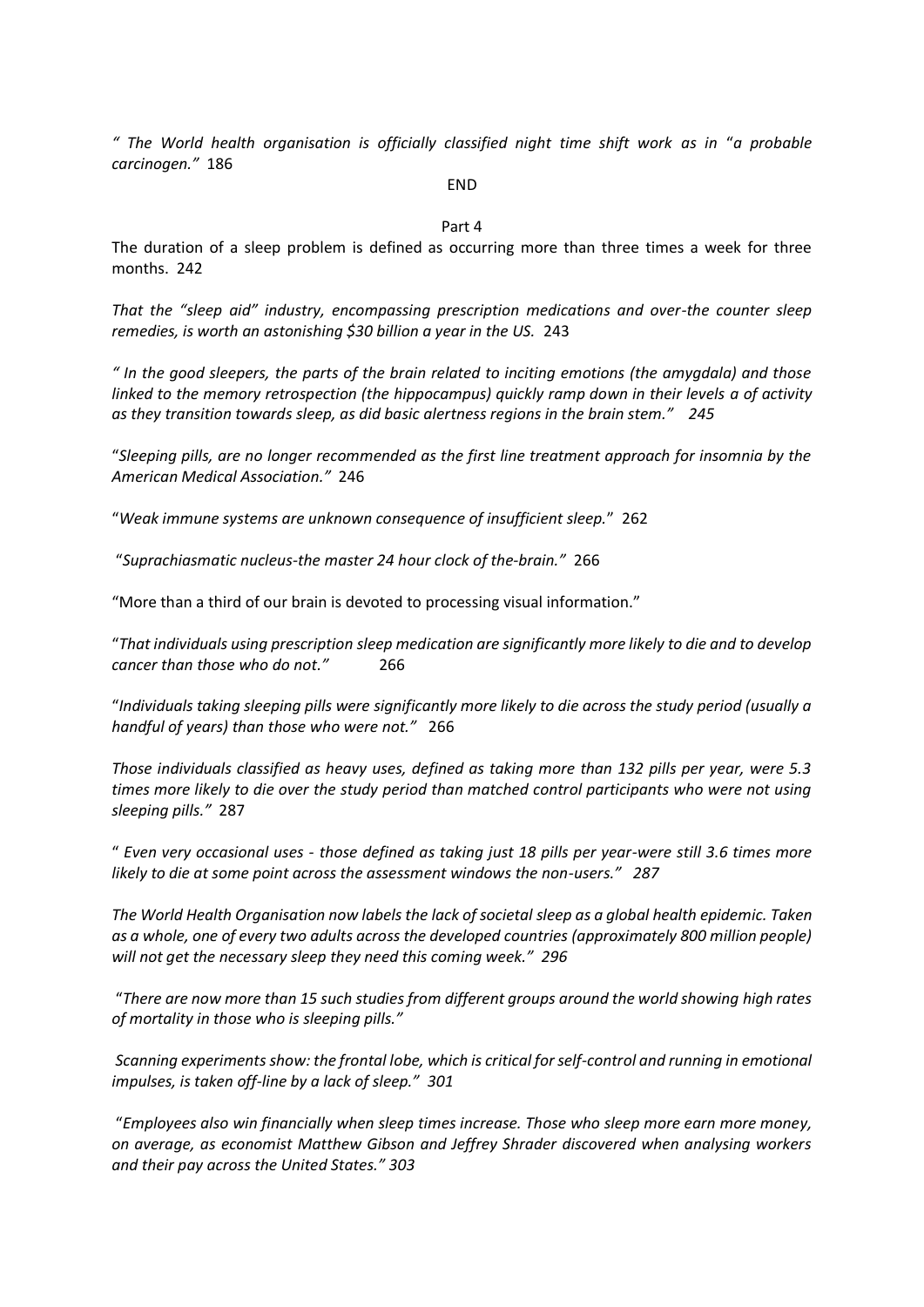*" The World health organisation is officially classified night time shift work as in* "*a probable carcinogen."* 186

## END

## Part 4

The duration of a sleep problem is defined as occurring more than three times a week for three months. 242

*That the "sleep aid" industry, encompassing prescription medications and over-the counter sleep remedies, is worth an astonishing \$30 billion a year in the US.* 243

*" In the good sleepers, the parts of the brain related to inciting emotions (the amygdala) and those linked to the memory retrospection (the hippocampus) quickly ramp down in their levels a of activity as they transition towards sleep, as did basic alertness regions in the brain stem." 245*

"*Sleeping pills, are no longer recommended as the first line treatment approach for insomnia by the American Medical Association."* 246

"*Weak immune systems are unknown consequence of insufficient sleep.*" 262

"*Suprachiasmatic nucleus-the master 24 hour clock of the-brain."* 266

"More than a third of our brain is devoted to processing visual information."

"*That individuals using prescription sleep medication are significantly more likely to die and to develop cancer than those who do not."* 266

"*Individuals taking sleeping pills were significantly more likely to die across the study period (usually a handful of years) than those who were not."* 266

*Those individuals classified as heavy uses, defined as taking more than 132 pills per year, were 5.3 times more likely to die over the study period than matched control participants who were not using sleeping pills."* 287

" *Even very occasional uses - those defined as taking just 18 pills per year-were still 3.6 times more likely to die at some point across the assessment windows the non-users." 287* 

*The World Health Organisation now labels the lack of societal sleep as a global health epidemic. Taken as a whole, one of every two adults across the developed countries (approximately 800 million people) will not get the necessary sleep they need this coming week." 296* 

"*There are now more than 15 such studies from different groups around the world showing high rates of mortality in those who is sleeping pills."*

*Scanning experiments show: the frontal lobe, which is critical for self-control and running in emotional impulses, is taken off-line by a lack of sleep." 301*

"*Employees also win financially when sleep times increase. Those who sleep more earn more money, on average, as economist Matthew Gibson and Jeffrey Shrader discovered when analysing workers and their pay across the United States." 303*